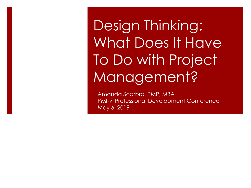Design Thinking: What Does It Have To Do with Project Management?

Amanda Scarbro, PMP, MBA PMI-vi Professional Development Conference May 6, 2019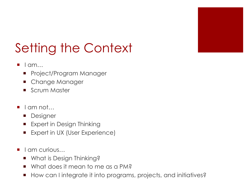

# Setting the Context

- $\blacksquare$   $\blacksquare$ 
	- **Project/Program Manager**
	- **Change Manager**
	- Scrum Master
- $\blacksquare$  I am not...
	- **Designer**
	- **Expert in Design Thinking**
	- **Expert in UX (User Experience)**
- $\blacksquare$  am curious...
	- What is Design Thinking?
	- What does it mean to me as a PM?
	- How can I integrate it into programs, projects, and initiatives?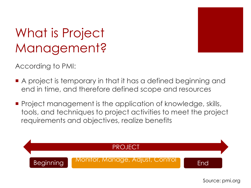

#### What is Project Management?

According to PMI:

- A project is temporary in that it has a defined beginning and end in time, and therefore defined scope and resources
- **Project management is the application of knowledge, skills,** tools, and techniques to project activities to meet the project requirements and objectives, realize benefits



Source: pmi.org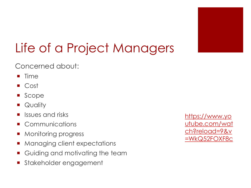

# Life of a Project Managers

Concerned about:

- $\blacksquare$  Time
- Cost
- Scope
- **Quality**
- Issues and risks
- Communications
- Monitoring progress
- Managing client expectations
- Guiding and motivating the team
- **Stakeholder engagement**

https://www.yo [utube.com/wat](https://www.youtube.com/watch?reload=9&v=WkQ52FOXF8c) ch?reload=9&v =WkQ52FOXF8c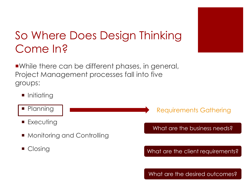

#### So Where Does Design Thinking Come In?

While there can be different phases, in general, Project Management processes fall into five groups:

- **Initiating**
- **Planning**
- Executing
- Monitoring and Controlling
- Closing

Requirements Gathering

What are the business needs?

What are the client requirements?

What are the desired outcomes?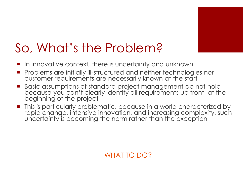

#### So, What's the Problem?

- In innovative context, there is uncertainty and unknown
- Problems are initially ill-structured and neither technologies nor customer requirements are necessarily known at the start
- Basic assumptions of standard project management do not hold because you can't clearly identify all requirements up front, at the beginning of the project
- **This is particularly problematic, because in a world characterized by** rapid change, intensive innovation, and increasing complexity, such uncertainty is becoming the norm rather than the exception

WHAT TO DO?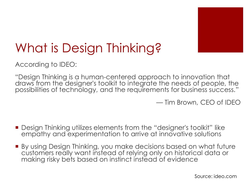

#### What is Design Thinking?

According to IDEO:

"Design Thinking is a human-centered approach to innovation that draws from the designer's toolkit to integrate the needs of people, the possibilities of technology, and the requirements for business success."

— Tim Brown, CEO of IDEO

- **Design Thinking utilizes elements from the "designer's toolkit" like** empathy and experimentation to arrive at innovative solutions
- By using Design Thinking, you make decisions based on what future customers really want instead of relying only on historical data or making risky bets based on instinct instead of evidence

Source: ideo.com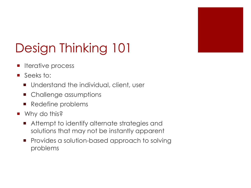

# Design Thinking 101

- **Iferative process**
- Seeks to:
	- **Understand the individual, client, user**
	- Challenge assumptions
	- Redefine problems
- Why do this?
	- Attempt to identify alternate strategies and solutions that may not be instantly apparent
	- **Provides a solution-based approach to solving** problems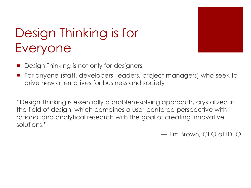

# Design Thinking is for Everyone

- Design Thinking is not only for designers
- For anyone (staff, developers, leaders, project managers) who seek to drive new alternatives for business and society

"Design Thinking is essentially a problem-solving approach, crystalized in the field of design, which combines a user-centered perspective with rational and analytical research with the goal of creating innovative solutions."

— Tim Brown, CEO of IDEO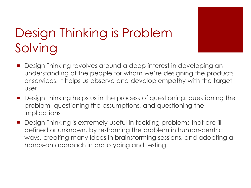

# Design Thinking is Problem Solving

- **Design Thinking revolves around a deep interest in developing an** understanding of the people for whom we're designing the products or services. It helps us observe and develop empathy with the target user
- Design Thinking helps us in the process of questioning: questioning the problem, questioning the assumptions, and questioning the implications
- Design Thinking is extremely useful in tackling problems that are illdefined or unknown, by re-framing the problem in human-centric ways, creating many ideas in brainstorming sessions, and adopting a hands-on approach in prototyping and testing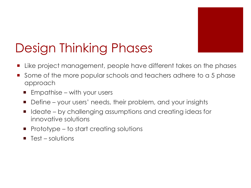

# Design Thinking Phases

- Like project management, people have different takes on the phases
- Some of the more popular schools and teachers adhere to a 5 phase approach
	- Empathise with your users
	- Define your users' needs, their problem, and your insights
	- Ideate by challenging assumptions and creating ideas for innovative solutions
	- $\blacksquare$  Prototype to start creating solutions
	- $\blacksquare$  Test solutions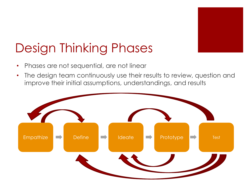

## Design Thinking Phases

- Phases are not sequential, are not linear
- The design team continuously use their results to review, question and improve their initial assumptions, understandings, and results

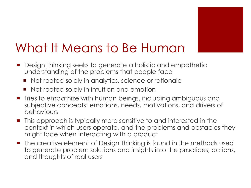

#### What It Means to Be Human

- Design Thinking seeks to generate a holistic and empathetic understanding of the problems that people face
	- Not rooted solely in analytics, science or rationale
	- Not rooted solely in intuition and emotion
- Tries to empathize with human beings, including ambiguous and subjective concepts: emotions, needs, motivations, and drivers of behaviours
- This approach is typically more sensitive to and interested in the context in which users operate, and the problems and obstacles they might face when interacting with a product
- The creative element of Design Thinking is found in the methods used to generate problem solutions and insights into the practices, actions, and thoughts of real users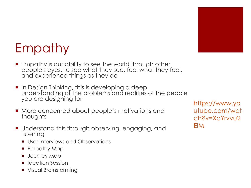

#### Empathy

- **Empathy is our ability to see the world through other** people's eyes, to see what they see, feel what they feel, and experience things as they do
- **I** In Design Thinking, this is developing a deep understanding of the problems and realities of the people you are designing for
- More concerned about people's motivations and thoughts
- **Understand this through observing, engaging, and** listening
	- User Interviews and Observations
	- **Empathy Map**
	- Journey Map
	- Ideation Session
	- **Visual Brainstorming**

https://www.yo utube.com/wat ch?v=XcYrvvu2 ElM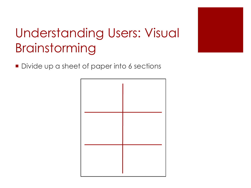

#### Understanding Users: Visual Brainstorming

Divide up a sheet of paper into 6 sections

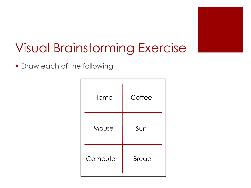

#### Visual Brainstorming Exercise

**Draw each of the following** 

| Home     | Coffee       |
|----------|--------------|
| Mouse    | Sun          |
| Computer | <b>Bread</b> |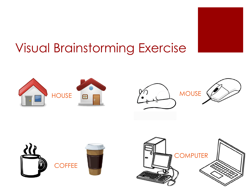

#### Visual Brainstorming Exercise

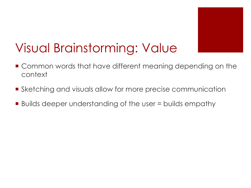

#### Visual Brainstorming: Value

- **Common words that have different meaning depending on the** context
- **Sketching and visuals allow for more precise communication**
- Builds deeper understanding of the user = builds empathy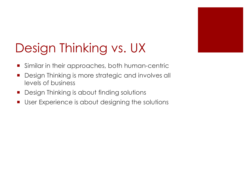

# Design Thinking vs. UX

- Similar in their approaches, both human-centric
- **Design Thinking is more strategic and involves all** levels of business
- **Design Thinking is about finding solutions**
- **User Experience is about designing the solutions**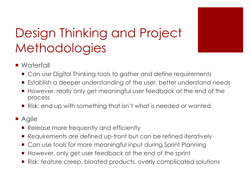■ Waterfall

**Methodologies** 

Can use Digital Thinking tools to gather and define requirements

Design Thinking and Project

- Establish a deeper understanding of the user, better understand needs
- However, really only get meaningful user feedback at the end of the process
- Risk: end up with something that isn't what is needed or wanted

#### ■ Agile

- Release more frequently and efficiently
- Requirements are defined up-front but can be refined iteratively
- Can use tools for more meaningful input during Sprint Planning
- However, only get user feedback at the end of the sprint
- Risk: feature creep, bloated products, overly complicated solutions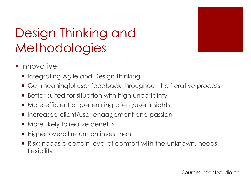

# Design Thinking and **Methodologies**

- **Innovative** 
	- **Integrating Agile and Design Thinking**
	- Get meaningful user feedback throughout the iterative process
	- Better suited for situation with high uncertainty
	- More efficient at generating client/user insights
	- Increased client/user engagement and passion
	- More likely to realize benefits
	- Higher overall return on investment
	- Risk: needs a certain level of comfort with the unknown, needs flexibility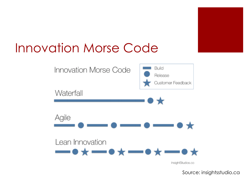

#### Innovation Morse Code



Source: insightsstudio.ca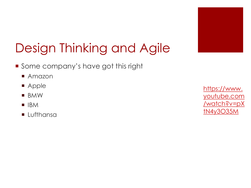

# Design Thinking and Agile

- Some company's have got this right
	- Amazon
	- **Apple**
	- **BMW**
	- $IBM$
	- **Lufthansa**

https://www. youtube.com [/watch?v=pX](https://www.youtube.com/watch?v=pXtN4y3O35M) tN4y3O35M